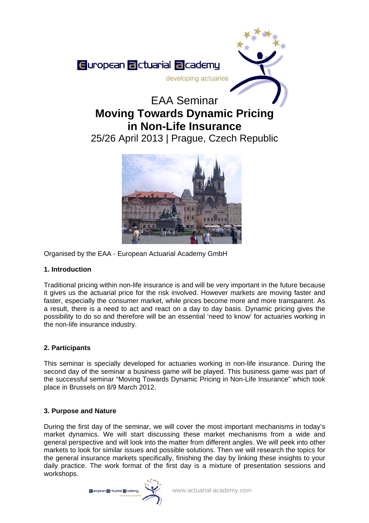

# **Moving Towards Dynamic Pricing in Non-Life Insurance**

25/26 April 2013 | Prague, Czech Republic



Organised by the EAA - European Actuarial Academy GmbH

# **1. Introduction**

Traditional pricing within non-life insurance is and will be very important in the future because it gives us the actuarial price for the risk involved. However markets are moving faster and faster, especially the consumer market, while prices become more and more transparent. As a result, there is a need to act and react on a day to day basis. Dynamic pricing gives the possibility to do so and therefore will be an essential 'need to know' for actuaries working in the non-life insurance industry.

# **2. Participants**

This seminar is specially developed for actuaries working in non-life insurance. During the second day of the seminar a business game will be played. This business game was part of the successful seminar "Moving Towards Dynamic Pricing in Non-Life Insurance" which took place in Brussels on 8/9 March 2012.

# **3. Purpose and Nature**

During the first day of the seminar, we will cover the most important mechanisms in today's market dynamics. We will start discussing these market mechanisms from a wide and general perspective and will look into the matter from different angles. We will peek into other markets to look for similar issues and possible solutions. Then we will research the topics for the general insurance markets specifically, finishing the day by linking these insights to your daily practice. The work format of the first day is a mixture of presentation sessions and workshops.

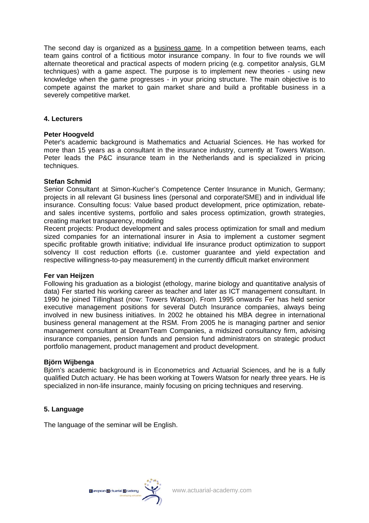The second day is organized as a **business game**. In a competition between teams, each team gains control of a fictitious motor insurance company. In four to five rounds we will alternate theoretical and practical aspects of modern pricing (e.g. competitor analysis, GLM techniques) with a game aspect. The purpose is to implement new theories - using new knowledge when the game progresses - in your pricing structure. The main objective is to compete against the market to gain market share and build a profitable business in a severely competitive market.

#### **4. Lecturers**

#### **Peter Hoogveld**

Peter's academic background is Mathematics and Actuarial Sciences. He has worked for more than 15 years as a consultant in the insurance industry, currently at Towers Watson. Peter leads the P&C insurance team in the Netherlands and is specialized in pricing techniques.

#### **Stefan Schmid**

Senior Consultant at Simon-Kucher's Competence Center Insurance in Munich, Germany; projects in all relevant GI business lines (personal and corporate/SME) and in individual life insurance. Consulting focus: Value based product development, price optimization, rebateand sales incentive systems, portfolio and sales process optimization, growth strategies, creating market transparency, modeling

Recent projects: Product development and sales process optimization for small and medium sized companies for an international insurer in Asia to implement a customer segment specific profitable growth initiative; individual life insurance product optimization to support solvency II cost reduction efforts (i.e. customer guarantee and yield expectation and respective willingness-to-pay measurement) in the currently difficult market environment

#### **Fer van Heijzen**

Following his graduation as a biologist (ethology, marine biology and quantitative analysis of data) Fer started his working career as teacher and later as ICT management consultant. In 1990 he joined Tillinghast (now: Towers Watson). From 1995 onwards Fer has held senior executive management positions for several Dutch Insurance companies, always being involved in new business initiatives. In 2002 he obtained his MBA degree in international business general management at the RSM. From 2005 he is managing partner and senior management consultant at DreamTeam Companies, a midsized consultancy firm, advising insurance companies, pension funds and pension fund administrators on strategic product portfolio management, product management and product development.

## **Björn Wijbenga**

Björn's academic background is in Econometrics and Actuarial Sciences, and he is a fully qualified Dutch actuary. He has been working at Towers Watson for nearly three years. He is specialized in non-life insurance, mainly focusing on pricing techniques and reserving.

## **5. Language**

The language of the seminar will be English.

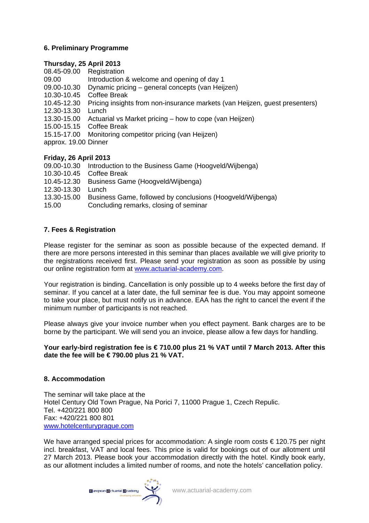# **6. Preliminary Programme**

## **Thursday, 25 April 2013**

08.45-09.00 Registration

- 09.00 Introduction & welcome and opening of day 1
- 09.00-10.30 Dynamic pricing general concepts (van Heijzen)
- 10.30-10.45 Coffee Break
- 10.45-12.30 Pricing insights from non-insurance markets (van Heijzen, guest presenters)
- 12.30-13.30 Lunch
- 13.30-15.00 Actuarial vs Market pricing how to cope (van Heijzen)
- 15.00-15.15 Coffee Break
- 15.15-17.00 Monitoring competitor pricing (van Heijzen)
- approx. 19.00 Dinner

## **Friday, 26 April 2013**

- 09.00-10.30 Introduction to the Business Game (Hoogveld/Wijbenga)
- 10.30-10.45 Coffee Break
- 10.45-12.30 Business Game (Hoogveld/Wijbenga)
- 12.30-13.30 Lunch
- 13.30-15.00 Business Game, followed by conclusions (Hoogveld/Wijbenga)
- 15.00 Concluding remarks, closing of seminar

# **7. Fees & Registration**

Please register for the seminar as soon as possible because of the expected demand. If there are more persons interested in this seminar than places available we will give priority to the registrations received first. Please send your registration as soon as possible by using our online registration form at [www.actuarial-academy.com.](http://www.actuarial-academy.com/)

Your registration is binding. Cancellation is only possible up to 4 weeks before the first day of seminar. If you cancel at a later date, the full seminar fee is due. You may appoint someone to take your place, but must notify us in advance. EAA has the right to cancel the event if the minimum number of participants is not reached.

Please always give your invoice number when you effect payment. Bank charges are to be borne by the participant. We will send you an invoice, please allow a few days for handling.

## **Your early-bird registration fee is € 710.00 plus 21 % VAT until 7 March 2013. After this date the fee will be € 790.00 plus 21 % VAT.**

## **8. Accommodation**

The seminar will take place at the Hotel Century Old Town Prague, Na Porici 7, 11000 Prague 1, Czech Repulic. Tel. +420/221 800 800 Fax: +420/221 800 801 [www.hotelcenturyprague.com](http://www.hotelcenturyprague.com/)

We have arranged special prices for accommodation: A single room costs € 120.75 per night incl. breakfast, VAT and local fees. This price is valid for bookings out of our allotment until 27 March 2013. Please book your accommodation directly with the hotel. Kindly book early, as our allotment includes a limited number of rooms, and note the hotels' cancellation policy.